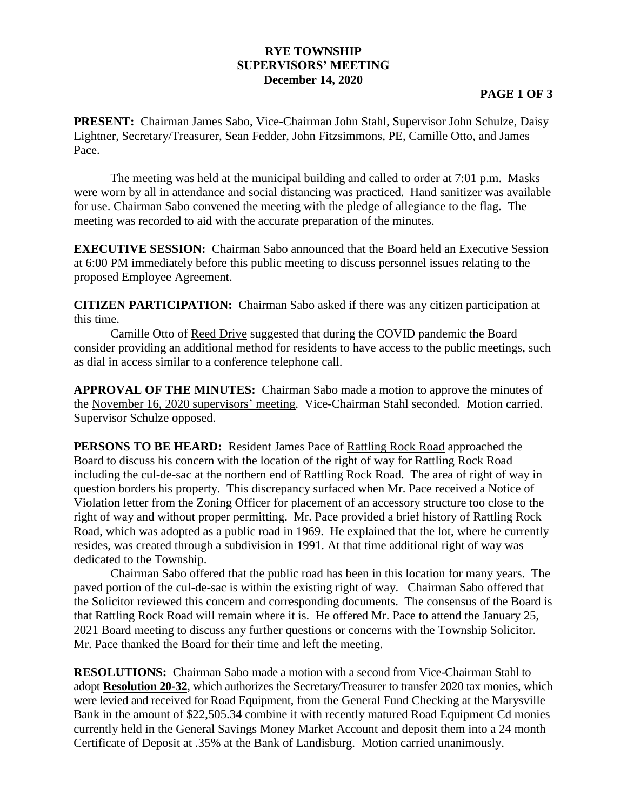## **RYE TOWNSHIP SUPERVISORS' MEETING December 14, 2020**

## **PAGE 1 OF 3**

**PRESENT:** Chairman James Sabo, Vice-Chairman John Stahl, Supervisor John Schulze, Daisy Lightner, Secretary/Treasurer, Sean Fedder, John Fitzsimmons, PE, Camille Otto, and James Pace.

The meeting was held at the municipal building and called to order at 7:01 p.m. Masks were worn by all in attendance and social distancing was practiced. Hand sanitizer was available for use. Chairman Sabo convened the meeting with the pledge of allegiance to the flag. The meeting was recorded to aid with the accurate preparation of the minutes.

**EXECUTIVE SESSION:** Chairman Sabo announced that the Board held an Executive Session at 6:00 PM immediately before this public meeting to discuss personnel issues relating to the proposed Employee Agreement.

**CITIZEN PARTICIPATION:** Chairman Sabo asked if there was any citizen participation at this time.

Camille Otto of Reed Drive suggested that during the COVID pandemic the Board consider providing an additional method for residents to have access to the public meetings, such as dial in access similar to a conference telephone call.

**APPROVAL OF THE MINUTES:** Chairman Sabo made a motion to approve the minutes of the November 16, 2020 supervisors' meeting. Vice-Chairman Stahl seconded. Motion carried. Supervisor Schulze opposed.

**PERSONS TO BE HEARD:** Resident James Pace of Rattling Rock Road approached the Board to discuss his concern with the location of the right of way for Rattling Rock Road including the cul-de-sac at the northern end of Rattling Rock Road. The area of right of way in question borders his property. This discrepancy surfaced when Mr. Pace received a Notice of Violation letter from the Zoning Officer for placement of an accessory structure too close to the right of way and without proper permitting. Mr. Pace provided a brief history of Rattling Rock Road, which was adopted as a public road in 1969. He explained that the lot, where he currently resides, was created through a subdivision in 1991. At that time additional right of way was dedicated to the Township.

Chairman Sabo offered that the public road has been in this location for many years. The paved portion of the cul-de-sac is within the existing right of way. Chairman Sabo offered that the Solicitor reviewed this concern and corresponding documents. The consensus of the Board is that Rattling Rock Road will remain where it is. He offered Mr. Pace to attend the January 25, 2021 Board meeting to discuss any further questions or concerns with the Township Solicitor. Mr. Pace thanked the Board for their time and left the meeting.

**RESOLUTIONS:** Chairman Sabo made a motion with a second from Vice-Chairman Stahl to adopt **Resolution 20-32**, which authorizes the Secretary/Treasurer to transfer 2020 tax monies, which were levied and received for Road Equipment, from the General Fund Checking at the Marysville Bank in the amount of \$22,505.34 combine it with recently matured Road Equipment Cd monies currently held in the General Savings Money Market Account and deposit them into a 24 month Certificate of Deposit at .35% at the Bank of Landisburg. Motion carried unanimously.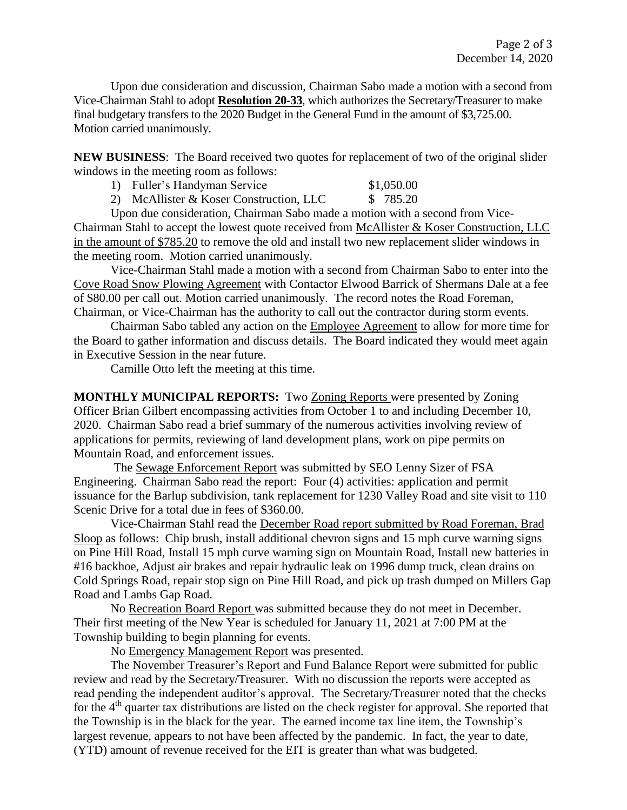Upon due consideration and discussion, Chairman Sabo made a motion with a second from Vice-Chairman Stahl to adopt **Resolution 20-33**, which authorizes the Secretary/Treasurer to make final budgetary transfers to the 2020 Budget in the General Fund in the amount of \$3,725.00. Motion carried unanimously.

**NEW BUSINESS**: The Board received two quotes for replacement of two of the original slider windows in the meeting room as follows:

| 1) Fuller's Handyman Service | \$1,050.00 |
|------------------------------|------------|
|------------------------------|------------|

| \$1,050.00 |  |
|------------|--|
|------------|--|

2) McAllister & Koser Construction, LLC \$ 785.20

Upon due consideration, Chairman Sabo made a motion with a second from Vice-Chairman Stahl to accept the lowest quote received from McAllister & Koser Construction, LLC in the amount of \$785.20 to remove the old and install two new replacement slider windows in the meeting room. Motion carried unanimously.

Vice-Chairman Stahl made a motion with a second from Chairman Sabo to enter into the Cove Road Snow Plowing Agreement with Contactor Elwood Barrick of Shermans Dale at a fee of \$80.00 per call out. Motion carried unanimously. The record notes the Road Foreman, Chairman, or Vice-Chairman has the authority to call out the contractor during storm events.

Chairman Sabo tabled any action on the Employee Agreement to allow for more time for the Board to gather information and discuss details. The Board indicated they would meet again in Executive Session in the near future.

Camille Otto left the meeting at this time.

**MONTHLY MUNICIPAL REPORTS:** Two Zoning Reports were presented by Zoning Officer Brian Gilbert encompassing activities from October 1 to and including December 10, 2020. Chairman Sabo read a brief summary of the numerous activities involving review of applications for permits, reviewing of land development plans, work on pipe permits on Mountain Road, and enforcement issues.

The Sewage Enforcement Report was submitted by SEO Lenny Sizer of FSA Engineering. Chairman Sabo read the report: Four (4) activities: application and permit issuance for the Barlup subdivision, tank replacement for 1230 Valley Road and site visit to 110 Scenic Drive for a total due in fees of \$360.00.

Vice-Chairman Stahl read the December Road report submitted by Road Foreman, Brad Sloop as follows: Chip brush, install additional chevron signs and 15 mph curve warning signs on Pine Hill Road, Install 15 mph curve warning sign on Mountain Road, Install new batteries in #16 backhoe, Adjust air brakes and repair hydraulic leak on 1996 dump truck, clean drains on Cold Springs Road, repair stop sign on Pine Hill Road, and pick up trash dumped on Millers Gap Road and Lambs Gap Road.

No Recreation Board Report was submitted because they do not meet in December. Their first meeting of the New Year is scheduled for January 11, 2021 at 7:00 PM at the Township building to begin planning for events.

No Emergency Management Report was presented.

The November Treasurer's Report and Fund Balance Report were submitted for public review and read by the Secretary/Treasurer. With no discussion the reports were accepted as read pending the independent auditor's approval. The Secretary/Treasurer noted that the checks for the 4<sup>th</sup> quarter tax distributions are listed on the check register for approval. She reported that the Township is in the black for the year. The earned income tax line item, the Township's largest revenue, appears to not have been affected by the pandemic. In fact, the year to date, (YTD) amount of revenue received for the EIT is greater than what was budgeted.